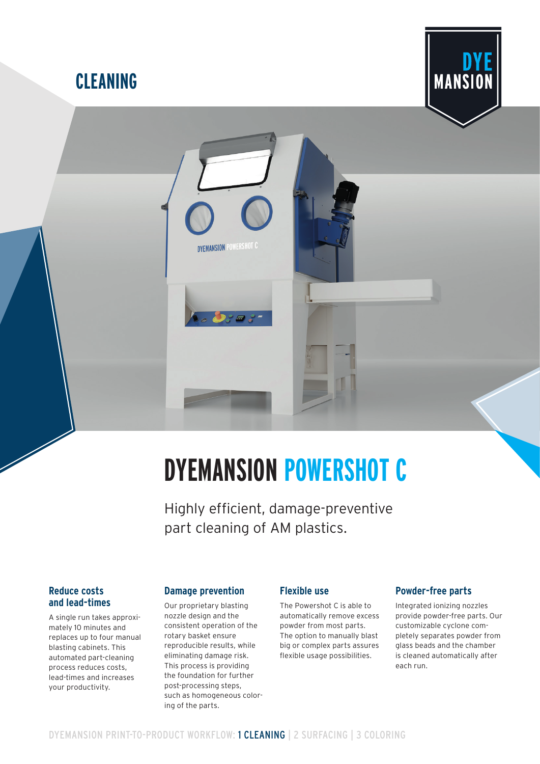# **CLEANING**



# **DYEMANSION POWERSHOT C**

Highly efficient, damage-preventive part cleaning of AM plastics.

## **Reduce costs and lead-times**

A single run takes approximately 10 minutes and replaces up to four manual blasting cabinets. This automated part-cleaning process reduces costs, lead-times and increases your productivity.

# **Damage prevention**

**DYEMANSION POWERSHOT C** 

Our proprietary blasting nozzle design and the consistent operation of the rotary basket ensure reproducible results, while eliminating damage risk. This process is providing the foundation for further post-processing steps, such as homogeneous coloring of the parts.

#### **Flexible use**

The Powershot C is able to automatically remove excess powder from most parts. The option to manually blast big or complex parts assures flexible usage possibilities.

#### **Powder-free parts**

Integrated ionizing nozzles provide powder-free parts. Our customizable cyclone completely separates powder from glass beads and the chamber is cleaned automatically after each run.